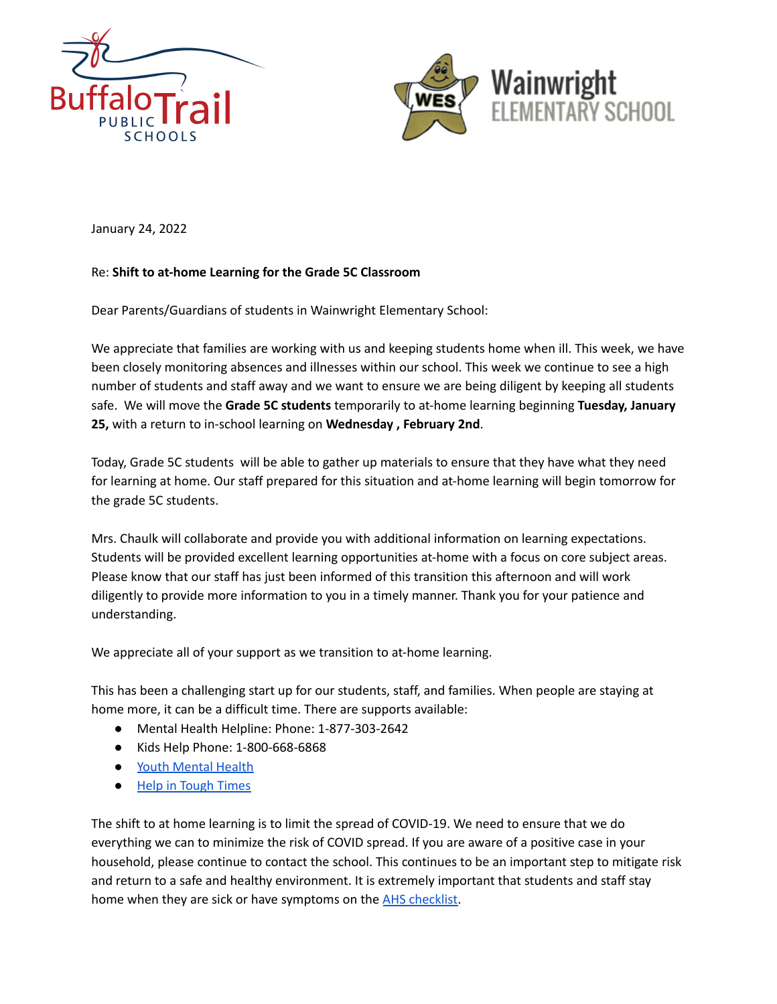



January 24, 2022

## Re: **Shift to at-home Learning for the Grade 5C Classroom**

Dear Parents/Guardians of students in Wainwright Elementary School:

We appreciate that families are working with us and keeping students home when ill. This week, we have been closely monitoring absences and illnesses within our school. This week we continue to see a high number of students and staff away and we want to ensure we are being diligent by keeping all students safe. We will move the **Grade 5C students** temporarily to at-home learning beginning **Tuesday, January 25,** with a return to in-school learning on **Wednesday , February 2nd**.

Today, Grade 5C students will be able to gather up materials to ensure that they have what they need for learning at home. Our staff prepared for this situation and at-home learning will begin tomorrow for the grade 5C students.

Mrs. Chaulk will collaborate and provide you with additional information on learning expectations. Students will be provided excellent learning opportunities at-home with a focus on core subject areas. Please know that our staff has just been informed of this transition this afternoon and will work diligently to provide more information to you in a timely manner. Thank you for your patience and understanding.

We appreciate all of your support as we transition to at-home learning.

This has been a challenging start up for our students, staff, and families. When people are staying at home more, it can be a difficult time. There are supports available:

- Mental Health Helpline: Phone: 1-877-303-2642
- Kids Help Phone: 1-800-668-6868
- Youth [Mental](https://jack.org/resources/covidAB?fbclid=IwAR1knofuR-7p5JVl8CjRWrd-2F2wyfTNml1edToxA04VihkIcilmoUrbfDc) Health
- Help in [Tough](https://www.albertahealthservices.ca/amh/Page16759.aspx) Times

The shift to at home learning is to limit the spread of COVID-19. We need to ensure that we do everything we can to minimize the risk of COVID spread. If you are aware of a positive case in your household, please continue to contact the school. This continues to be an important step to mitigate risk and return to a safe and healthy environment. It is extremely important that students and staff stay home when they are sick or have symptoms on the AHS [checklist.](https://open.alberta.ca/dataset/56c020ed-1782-4c6c-bfdd-5af36754471f/resource/58957831-a4ab-45ff-9a8e-3c6af7c1622e/download/covid-19-information-alberta-health-daily-checklist-2021-09.pdf?fbclid=IwAR0a2CebxIStKlgHwWiR9YC0dqGm8pkBafTeDi6OMTutf3yMMY9szQ028IM)